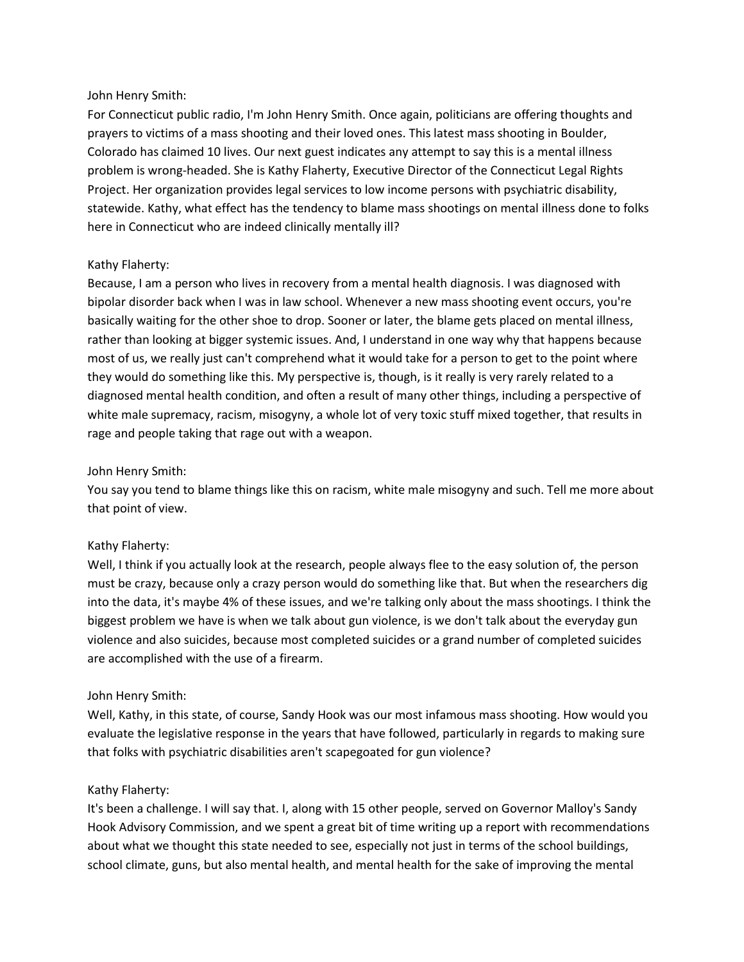### John Henry Smith:

For Connecticut public radio, I'm John Henry Smith. Once again, politicians are offering thoughts and prayers to victims of a mass shooting and their loved ones. This latest mass shooting in Boulder, Colorado has claimed 10 lives. Our next guest indicates any attempt to say this is a mental illness problem is wrong-headed. She is Kathy Flaherty, Executive Director of the Connecticut Legal Rights Project. Her organization provides legal services to low income persons with psychiatric disability, statewide. Kathy, what effect has the tendency to blame mass shootings on mental illness done to folks here in Connecticut who are indeed clinically mentally ill?

# Kathy Flaherty:

Because, I am a person who lives in recovery from a mental health diagnosis. I was diagnosed with bipolar disorder back when I was in law school. Whenever a new mass shooting event occurs, you're basically waiting for the other shoe to drop. Sooner or later, the blame gets placed on mental illness, rather than looking at bigger systemic issues. And, I understand in one way why that happens because most of us, we really just can't comprehend what it would take for a person to get to the point where they would do something like this. My perspective is, though, is it really is very rarely related to a diagnosed mental health condition, and often a result of many other things, including a perspective of white male supremacy, racism, misogyny, a whole lot of very toxic stuff mixed together, that results in rage and people taking that rage out with a weapon.

## John Henry Smith:

You say you tend to blame things like this on racism, white male misogyny and such. Tell me more about that point of view.

### Kathy Flaherty:

Well, I think if you actually look at the research, people always flee to the easy solution of, the person must be crazy, because only a crazy person would do something like that. But when the researchers dig into the data, it's maybe 4% of these issues, and we're talking only about the mass shootings. I think the biggest problem we have is when we talk about gun violence, is we don't talk about the everyday gun violence and also suicides, because most completed suicides or a grand number of completed suicides are accomplished with the use of a firearm.

### John Henry Smith:

Well, Kathy, in this state, of course, Sandy Hook was our most infamous mass shooting. How would you evaluate the legislative response in the years that have followed, particularly in regards to making sure that folks with psychiatric disabilities aren't scapegoated for gun violence?

### Kathy Flaherty:

It's been a challenge. I will say that. I, along with 15 other people, served on Governor Malloy's Sandy Hook Advisory Commission, and we spent a great bit of time writing up a report with recommendations about what we thought this state needed to see, especially not just in terms of the school buildings, school climate, guns, but also mental health, and mental health for the sake of improving the mental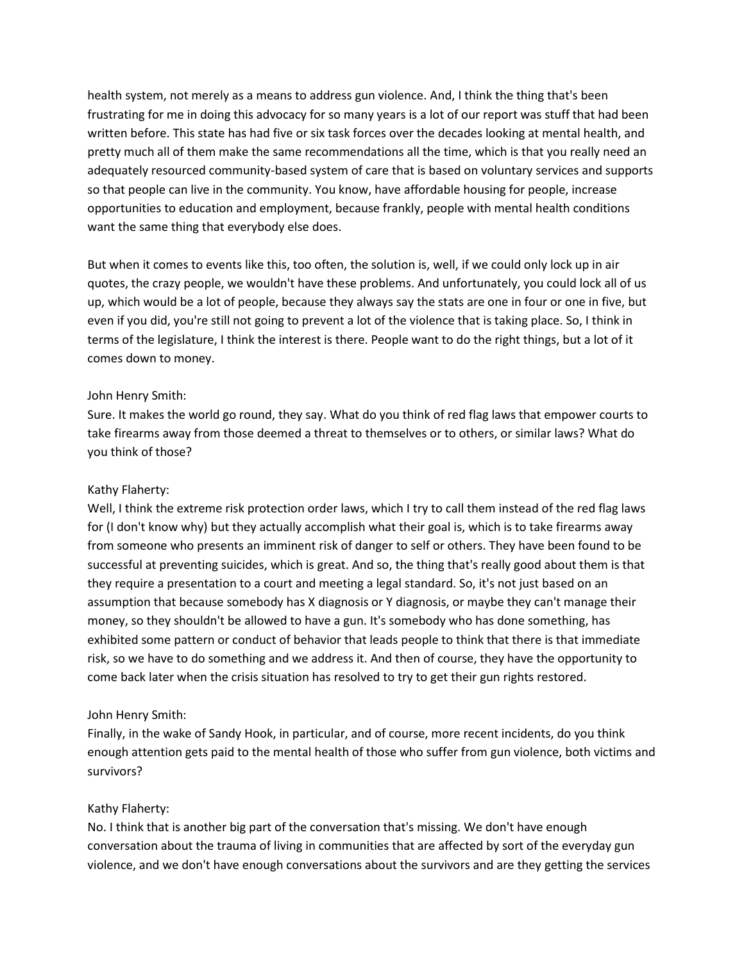health system, not merely as a means to address gun violence. And, I think the thing that's been frustrating for me in doing this advocacy for so many years is a lot of our report was stuff that had been written before. This state has had five or six task forces over the decades looking at mental health, and pretty much all of them make the same recommendations all the time, which is that you really need an adequately resourced community-based system of care that is based on voluntary services and supports so that people can live in the community. You know, have affordable housing for people, increase opportunities to education and employment, because frankly, people with mental health conditions want the same thing that everybody else does.

But when it comes to events like this, too often, the solution is, well, if we could only lock up in air quotes, the crazy people, we wouldn't have these problems. And unfortunately, you could lock all of us up, which would be a lot of people, because they always say the stats are one in four or one in five, but even if you did, you're still not going to prevent a lot of the violence that is taking place. So, I think in terms of the legislature, I think the interest is there. People want to do the right things, but a lot of it comes down to money.

#### John Henry Smith:

Sure. It makes the world go round, they say. What do you think of red flag laws that empower courts to take firearms away from those deemed a threat to themselves or to others, or similar laws? What do you think of those?

### Kathy Flaherty:

Well, I think the extreme risk protection order laws, which I try to call them instead of the red flag laws for (I don't know why) but they actually accomplish what their goal is, which is to take firearms away from someone who presents an imminent risk of danger to self or others. They have been found to be successful at preventing suicides, which is great. And so, the thing that's really good about them is that they require a presentation to a court and meeting a legal standard. So, it's not just based on an assumption that because somebody has X diagnosis or Y diagnosis, or maybe they can't manage their money, so they shouldn't be allowed to have a gun. It's somebody who has done something, has exhibited some pattern or conduct of behavior that leads people to think that there is that immediate risk, so we have to do something and we address it. And then of course, they have the opportunity to come back later when the crisis situation has resolved to try to get their gun rights restored.

### John Henry Smith:

Finally, in the wake of Sandy Hook, in particular, and of course, more recent incidents, do you think enough attention gets paid to the mental health of those who suffer from gun violence, both victims and survivors?

#### Kathy Flaherty:

No. I think that is another big part of the conversation that's missing. We don't have enough conversation about the trauma of living in communities that are affected by sort of the everyday gun violence, and we don't have enough conversations about the survivors and are they getting the services